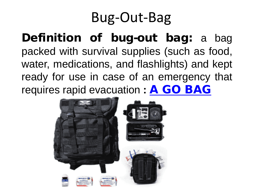# Bug-Out-Bag

Definition of bug-out bag: a bag packed with survival supplies (such as food, water, medications, and flashlights) and kept ready for use in case of an emergency that requires rapid evacuation **:** A GO [BAG](https://www.merriam-webster.com/dictionary/go%20bag)

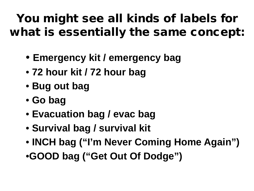#### You might see all kinds of labels for what is essentially the same concept:

- **Emergency kit / emergency bag**
- **72 hour kit / 72 hour bag**
- **Bug out bag**
- **Go bag**
- **Evacuation bag / evac bag**
- **Survival bag / survival kit**
- **INCH bag ("I'm Never Coming Home Again")**
- •**GOOD bag ("Get Out Of Dodge")**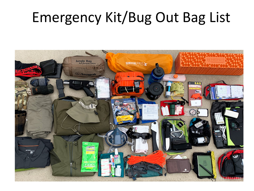## Emergency Kit/Bug Out Bag List

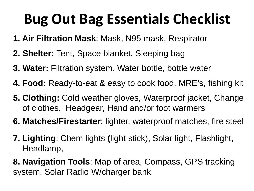# **Bug Out Bag Essentials Checklist**

- **1. Air Filtration Mask**: Mask, N95 mask, Respirator
- **2. Shelter:** Tent, Space blanket, Sleeping bag
- **3. Water:** Filtration system, Water bottle, bottle water
- **4. Food:** Ready-to-eat & easy to cook food, MRE's, fishing kit
- **5. Clothing:** Cold weather gloves, Waterproof jacket, Change of clothes, Headgear, Hand and/or foot warmers
- **6. Matches/Firestarter**: lighter, waterproof matches, fire steel
- **7. Lighting**: Chem lights **(**light stick), Solar light, Flashlight, Headlamp,
- **8. Navigation Tools**: Map of area, Compass, GPS tracking system, Solar Radio W/charger bank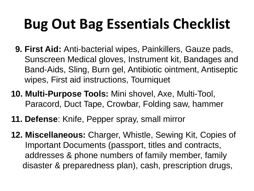# **Bug Out Bag Essentials Checklist**

- **9. First Aid:** Anti-bacterial wipes, Painkillers, Gauze pads, Sunscreen Medical gloves, Instrument kit, Bandages and Band-Aids, Sling, Burn gel, Antibiotic ointment, Antiseptic wipes, First aid instructions, Tourniquet
- **10. Multi-Purpose Tools:** Mini shovel, Axe, Multi-Tool, Paracord, Duct Tape, Crowbar, Folding saw, hammer
- **11. Defense**: Knife, Pepper spray, small mirror
- **12. Miscellaneous:** Charger, Whistle, Sewing Kit, Copies of Important Documents (passport, titles and contracts, addresses & phone numbers of family member, family disaster & preparedness plan), cash, prescription drugs,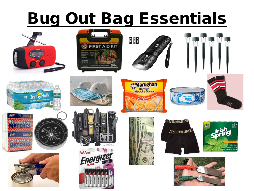# **Bug Out Bag Essentials**

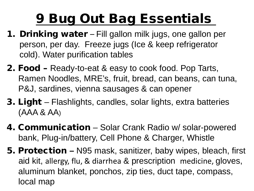# 9 Bug Out Bag Essentials

- 1. Drinking water Fill gallon milk jugs, one gallon per person, per day. Freeze jugs (Ice & keep refrigerator cold). Water purification tables
- 2. Food Ready-to-eat & easy to cook food. Pop Tarts, Ramen Noodles, MRE's, fruit, bread, can beans, can tuna, P&J, sardines, vienna sausages & can opener
- 3. Light Flashlights, candles, solar lights, extra batteries (AAA & AA)
- 4. Communication Solar Crank Radio w/ solar-powered bank, Plug-in/battery, Cell Phone & Charger, Whistle
- 5. Protection **–** N95 mask, sanitizer, baby wipes, bleach, first aid kit, allergy, flu, & diarrhea & prescription medicine, gloves, aluminum blanket, ponchos, zip ties, duct tape, compass, local map